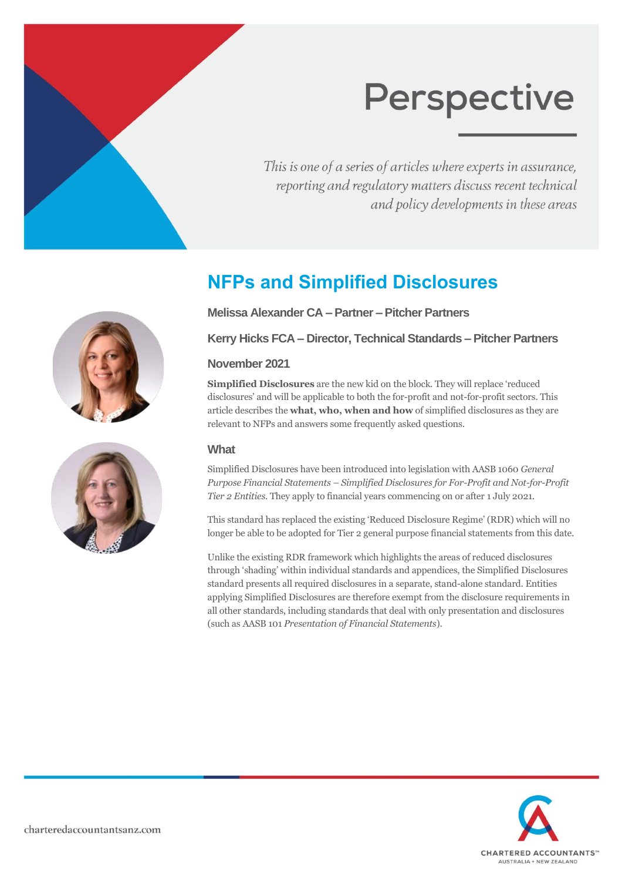This is one of a series of articles where experts in assurance, reporting and regulatory matters discuss recent technical and policy developments in these areas

# **NFPs and Simplified Disclosures**

**Melissa Alexander CA – Partner – Pitcher Partners**

**Kerry Hicks FCA – Director, Technical Standards – Pitcher Partners**

## **November 2021**

**Simplified Disclosures** are the new kid on the block. They will replace 'reduced disclosures' and will be applicable to both the for-profit and not-for-profit sectors. This article describes the **what, who, when and how** of simplified disclosures as they are relevant to NFPs and answers some frequently asked questions.

## **What**

Simplified Disclosures have been introduced into legislation with AASB 1060 *General Purpose Financial Statements – Simplified Disclosures for For-Profit and Not-for-Profit Tier 2 Entities*. They apply to financial years commencing on or after 1 July 2021.

This standard has replaced the existing 'Reduced Disclosure Regime' (RDR) which will no longer be able to be adopted for Tier 2 general purpose financial statements from this date.

Unlike the existing RDR framework which highlights the areas of reduced disclosures through 'shading' within individual standards and appendices, the Simplified Disclosures standard presents all required disclosures in a separate, stand-alone standard. Entities applying Simplified Disclosures are therefore exempt from the disclosure requirements in all other standards, including standards that deal with only presentation and disclosures (such as AASB 101 *Presentation of Financial Statements*).



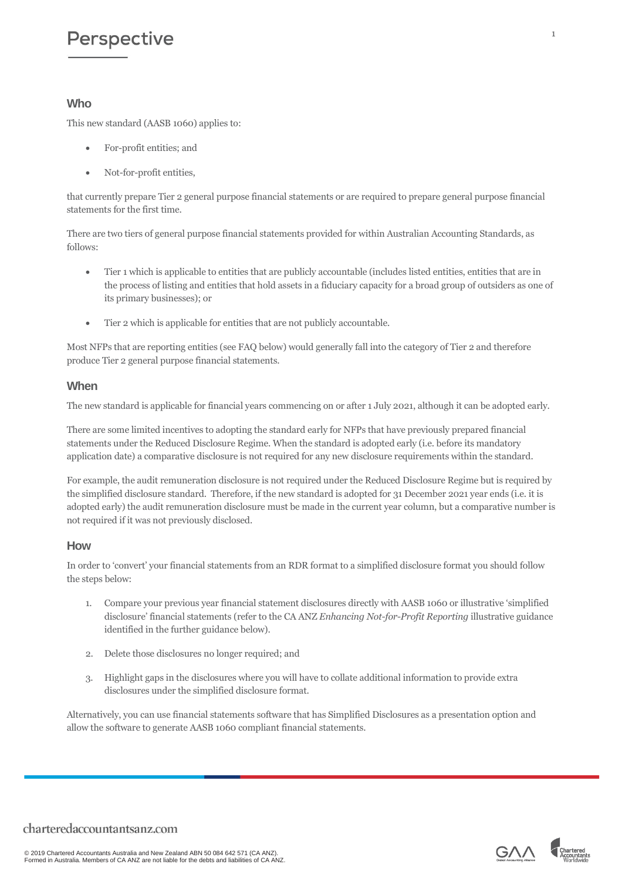## **Who**

This new standard (AASB 1060) applies to:

- For-profit entities; and
- Not-for-profit entities,

that currently prepare Tier 2 general purpose financial statements or are required to prepare general purpose financial statements for the first time.

There are two tiers of general purpose financial statements provided for within Australian Accounting Standards, as follows:

- Tier 1 which is applicable to entities that are publicly accountable (includes listed entities, entities that are in the process of listing and entities that hold assets in a fiduciary capacity for a broad group of outsiders as one of its primary businesses); or
- Tier 2 which is applicable for entities that are not publicly accountable.

Most NFPs that are reporting entities (see FAQ below) would generally fall into the category of Tier 2 and therefore produce Tier 2 general purpose financial statements.

### **When**

The new standard is applicable for financial years commencing on or after 1 July 2021, although it can be adopted early.

There are some limited incentives to adopting the standard early for NFPs that have previously prepared financial statements under the Reduced Disclosure Regime. When the standard is adopted early (i.e. before its mandatory application date) a comparative disclosure is not required for any new disclosure requirements within the standard.

For example, the audit remuneration disclosure is not required under the Reduced Disclosure Regime but is required by the simplified disclosure standard. Therefore, if the new standard is adopted for 31 December 2021 year ends (i.e. it is adopted early) the audit remuneration disclosure must be made in the current year column, but a comparative number is not required if it was not previously disclosed.

### **How**

In order to 'convert' your financial statements from an RDR format to a simplified disclosure format you should follow the steps below:

- 1. Compare your previous year financial statement disclosures directly with AASB 1060 or illustrative 'simplified disclosure' financial statements (refer to the CA ANZ *Enhancing Not-for-Profit Reporting* illustrative guidance identified in the further guidance below).
- 2. Delete those disclosures no longer required; and
- 3. Highlight gaps in the disclosures where you will have to collate additional information to provide extra disclosures under the simplified disclosure format.

Alternatively, you can use financial statements software that has Simplified Disclosures as a presentation option and allow the software to generate AASB 1060 compliant financial statements.



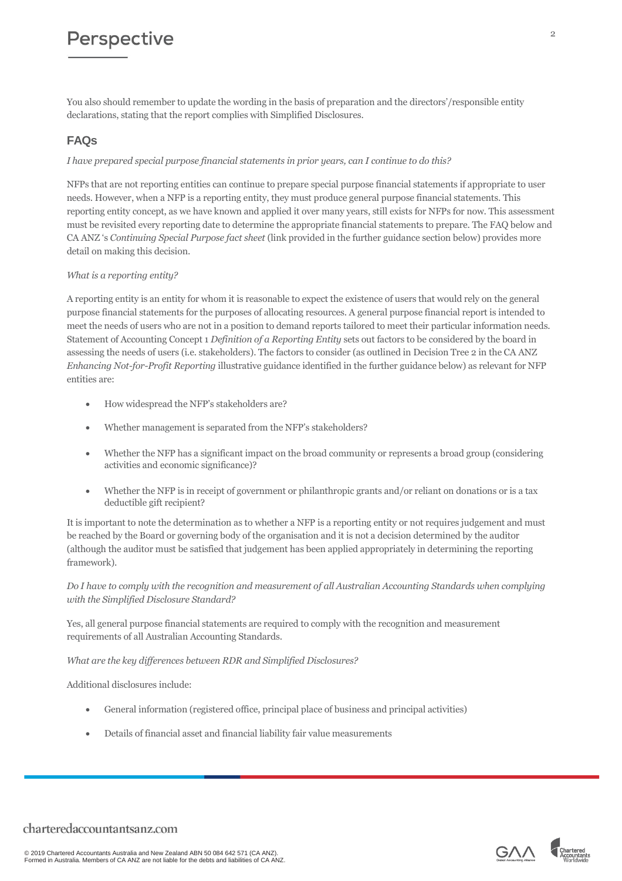You also should remember to update the wording in the basis of preparation and the directors'/responsible entity declarations, stating that the report complies with Simplified Disclosures.

# **FAQs**

### *I have prepared special purpose financial statements in prior years, can I continue to do this?*

NFPs that are not reporting entities can continue to prepare special purpose financial statements if appropriate to user needs. However, when a NFP is a reporting entity, they must produce general purpose financial statements. This reporting entity concept, as we have known and applied it over many years, still exists for NFPs for now. This assessment must be revisited every reporting date to determine the appropriate financial statements to prepare. The FAQ below and CA ANZ 's *Continuing Special Purpose fact sheet* (link provided in the further guidance section below) provides more detail on making this decision.

#### *What is a reporting entity?*

A reporting entity is an entity for whom it is reasonable to expect the existence of users that would rely on the general purpose financial statements for the purposes of allocating resources. A general purpose financial report is intended to meet the needs of users who are not in a position to demand reports tailored to meet their particular information needs. Statement of Accounting Concept 1 *Definition of a Reporting Entity* sets out factors to be considered by the board in assessing the needs of users (i.e. stakeholders). The factors to consider (as outlined in Decision Tree 2 in the CA ANZ *Enhancing Not-for-Profit Reporting* illustrative guidance identified in the further guidance below) as relevant for NFP entities are:

- How widespread the NFP's stakeholders are?
- Whether management is separated from the NFP's stakeholders?
- Whether the NFP has a significant impact on the broad community or represents a broad group (considering activities and economic significance)?
- Whether the NFP is in receipt of government or philanthropic grants and/or reliant on donations or is a tax deductible gift recipient?

It is important to note the determination as to whether a NFP is a reporting entity or not requires judgement and must be reached by the Board or governing body of the organisation and it is not a decision determined by the auditor (although the auditor must be satisfied that judgement has been applied appropriately in determining the reporting framework).

#### *Do I have to comply with the recognition and measurement of all Australian Accounting Standards when complying with the Simplified Disclosure Standard?*

Yes, all general purpose financial statements are required to comply with the recognition and measurement requirements of all Australian Accounting Standards.

*What are the key differences between RDR and Simplified Disclosures?*

Additional disclosures include:

- General information (registered office, principal place of business and principal activities)
- Details of financial asset and financial liability fair value measurements



 $\Omega$